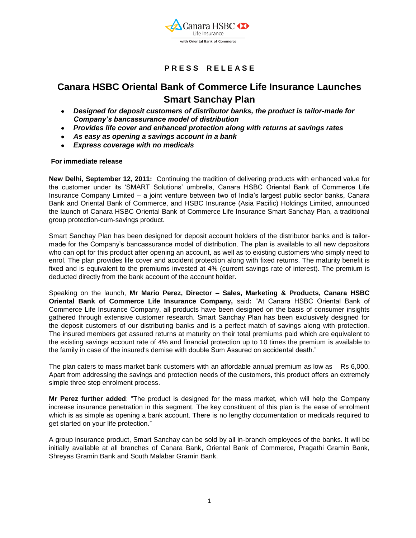

# **P R E S S R E L E A S E**

# **Canara HSBC Oriental Bank of Commerce Life Insurance Launches Smart Sanchay Plan**

- *Designed for deposit customers of distributor banks, the product is tailor-made for Company's bancassurance model of distribution*
- *Provides life cover and enhanced protection along with returns at savings rates*
- *As easy as opening a savings account in a bank*
- *Express coverage with no medicals*

# **For immediate release**

**New Delhi, September 12, 2011:** Continuing the tradition of delivering products with enhanced value for the customer under its "SMART Solutions" umbrella, Canara HSBC Oriental Bank of Commerce Life Insurance Company Limited – a joint venture between two of India"s largest public sector banks, Canara Bank and Oriental Bank of Commerce, and HSBC Insurance (Asia Pacific) Holdings Limited, announced the launch of Canara HSBC Oriental Bank of Commerce Life Insurance Smart Sanchay Plan, a traditional group protection-cum-savings product.

Smart Sanchay Plan has been designed for deposit account holders of the distributor banks and is tailormade for the Company"s bancassurance model of distribution. The plan is available to all new depositors who can opt for this product after opening an account, as well as to existing customers who simply need to enrol. The plan provides life cover and accident protection along with fixed returns. The maturity benefit is fixed and is equivalent to the premiums invested at 4% (current savings rate of interest). The premium is deducted directly from the bank account of the account holder.

Speaking on the launch, **Mr Mario Perez, Director – Sales, Marketing & Products, Canara HSBC Oriental Bank of Commerce Life Insurance Company,** said**:** "At Canara HSBC Oriental Bank of Commerce Life Insurance Company, all products have been designed on the basis of consumer insights gathered through extensive customer research. Smart Sanchay Plan has been exclusively designed for the deposit customers of our distributing banks and is a perfect match of savings along with protection. The insured members get assured returns at maturity on their total premiums paid which are equivalent to the existing savings account rate of 4% and financial protection up to 10 times the premium is available to the family in case of the insured's demise with double Sum Assured on accidental death."

The plan caters to mass market bank customers with an affordable annual premium as low as Rs 6,000. Apart from addressing the savings and protection needs of the customers, this product offers an extremely simple three step enrolment process.

**Mr Perez further added**: "The product is designed for the mass market, which will help the Company increase insurance penetration in this segment. The key constituent of this plan is the ease of enrolment which is as simple as opening a bank account. There is no lengthy documentation or medicals required to get started on your life protection."

A group insurance product, Smart Sanchay can be sold by all in-branch employees of the banks. It will be initially available at all branches of Canara Bank, Oriental Bank of Commerce, Pragathi Gramin Bank, Shreyas Gramin Bank and South Malabar Gramin Bank.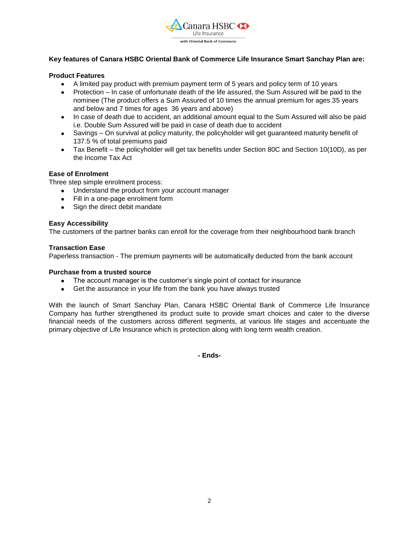

# **Key features of Canara HSBC Oriental Bank of Commerce Life Insurance Smart Sanchay Plan are:**

# **Product Features**

- A limited pay product with premium payment term of 5 years and policy term of 10 years
- Protection In case of unfortunate death of the life assured, the Sum Assured will be paid to the nominee (The product offers a Sum Assured of 10 times the annual premium for ages 35 years and below and 7 times for ages 36 years and above)
- In case of death due to accident, an additional amount equal to the Sum Assured will also be paid i.e. Double Sum Assured will be paid in case of death due to accident
- Savings On survival at policy maturity, the policyholder will get guaranteed maturity benefit of 137.5 % of total premiums paid
- Tax Benefit the policyholder will get tax benefits under Section 80C and Section 10(10D), as per the Income Tax Act

# **Ease of Enrolment**

Three step simple enrolment process:

- Understand the product from your account manager
- Fill in a one-page enrolment form
- Sign the direct debit mandate

#### **Easy Accessibility**

The customers of the partner banks can enroll for the coverage from their neighbourhood bank branch

#### **Transaction Ease**

Paperless transaction - The premium payments will be automatically deducted from the bank account

#### **Purchase from a trusted source**

- The account manager is the customer"s single point of contact for insurance
- Get the assurance in your life from the bank you have always trusted

With the launch of Smart Sanchay Plan, Canara HSBC Oriental Bank of Commerce Life Insurance Company has further strengthened its product suite to provide smart choices and cater to the diverse financial needs of the customers across different segments, at various life stages and accentuate the primary objective of Life Insurance which is protection along with long term wealth creation.

**- Ends-**